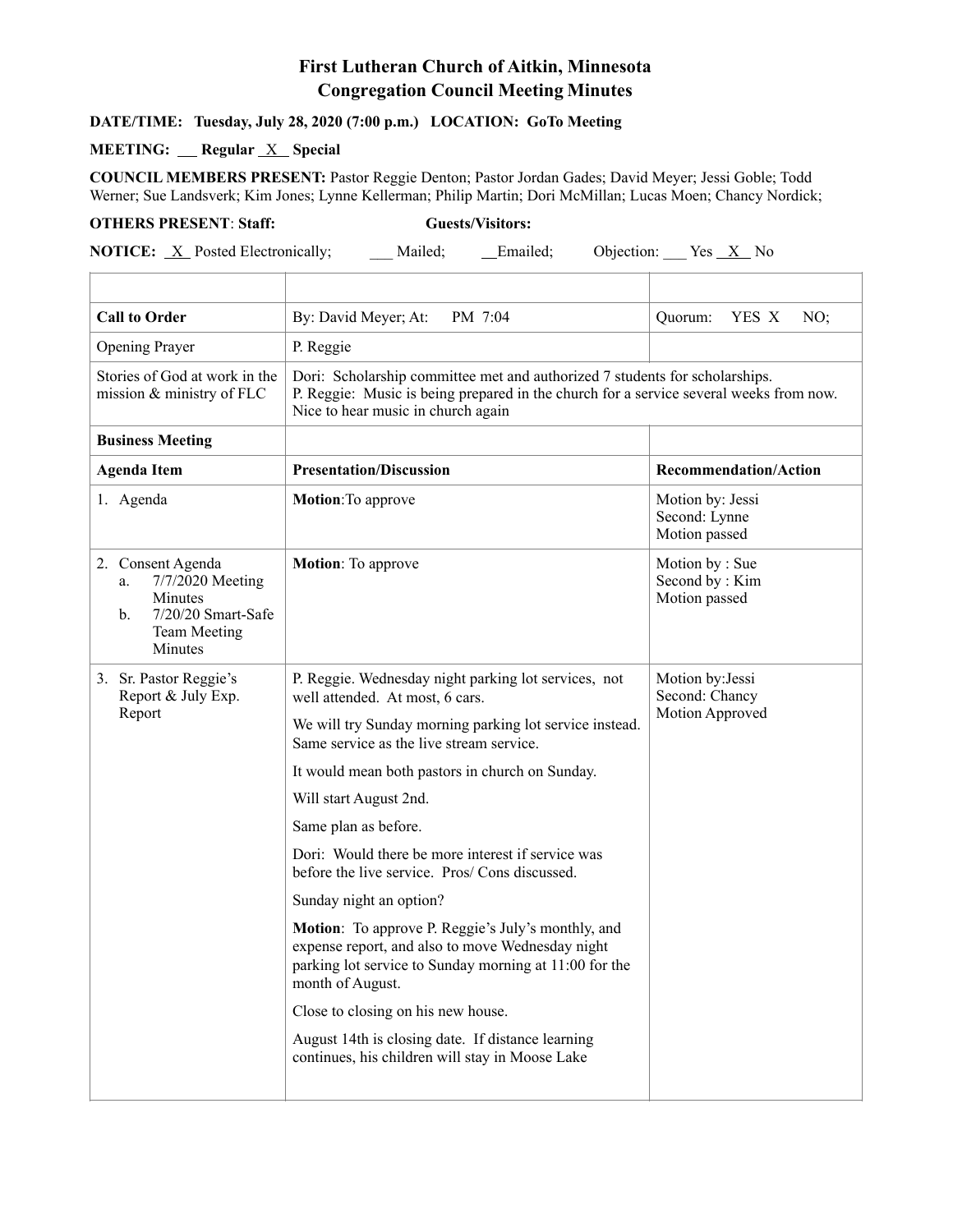## **First Lutheran Church of Aitkin, Minnesota Congregation Council Meeting Minutes**

## **DATE/TIME: Tuesday, July 28, 2020 (7:00 p.m.) LOCATION: GoTo Meeting**

## **MEETING:** Regular <u>X</u> Special

**COUNCIL MEMBERS PRESENT:** Pastor Reggie Denton; Pastor Jordan Gades; David Meyer; Jessi Goble; Todd Werner; Sue Landsverk; Kim Jones; Lynne Kellerman; Philip Martin; Dori McMillan; Lucas Moen; Chancy Nordick;

## **OTHERS PRESENT**: **Staff: Guests/Visitors:**

**NOTICE:** <u>X</u> Posted Electronically; \_\_\_ Mailed; \_\_\_ Emailed; Objection: \_\_\_ Yes <u>X</u> No

| <b>Call to Order</b>                                                                                                             | By: David Meyer; At:<br>PM 7:04                                                                                                                                                                                                                                                                                                                                                                                                                                                                                                                                                                                                                                                                                                                                            | Quorum:<br>YES X<br>NO;                               |  |
|----------------------------------------------------------------------------------------------------------------------------------|----------------------------------------------------------------------------------------------------------------------------------------------------------------------------------------------------------------------------------------------------------------------------------------------------------------------------------------------------------------------------------------------------------------------------------------------------------------------------------------------------------------------------------------------------------------------------------------------------------------------------------------------------------------------------------------------------------------------------------------------------------------------------|-------------------------------------------------------|--|
| <b>Opening Prayer</b>                                                                                                            | P. Reggie                                                                                                                                                                                                                                                                                                                                                                                                                                                                                                                                                                                                                                                                                                                                                                  |                                                       |  |
| Stories of God at work in the<br>mission & ministry of FLC                                                                       | Dori: Scholarship committee met and authorized 7 students for scholarships.<br>P. Reggie: Music is being prepared in the church for a service several weeks from now.<br>Nice to hear music in church again                                                                                                                                                                                                                                                                                                                                                                                                                                                                                                                                                                |                                                       |  |
| <b>Business Meeting</b>                                                                                                          |                                                                                                                                                                                                                                                                                                                                                                                                                                                                                                                                                                                                                                                                                                                                                                            |                                                       |  |
| <b>Agenda Item</b>                                                                                                               | <b>Presentation/Discussion</b>                                                                                                                                                                                                                                                                                                                                                                                                                                                                                                                                                                                                                                                                                                                                             | <b>Recommendation/Action</b>                          |  |
| 1. Agenda                                                                                                                        | Motion: To approve                                                                                                                                                                                                                                                                                                                                                                                                                                                                                                                                                                                                                                                                                                                                                         | Motion by: Jessi<br>Second: Lynne<br>Motion passed    |  |
| 2. Consent Agenda<br>7/7/2020 Meeting<br>a.<br>Minutes<br>7/20/20 Smart-Safe<br>$\mathbf{b}$ .<br><b>Team Meeting</b><br>Minutes | <b>Motion:</b> To approve                                                                                                                                                                                                                                                                                                                                                                                                                                                                                                                                                                                                                                                                                                                                                  | Motion by: Sue<br>Second by: Kim<br>Motion passed     |  |
| 3. Sr. Pastor Reggie's<br>Report & July Exp.<br>Report                                                                           | P. Reggie. Wednesday night parking lot services, not<br>well attended. At most, 6 cars.<br>We will try Sunday morning parking lot service instead.<br>Same service as the live stream service.<br>It would mean both pastors in church on Sunday.<br>Will start August 2nd.<br>Same plan as before.<br>Dori: Would there be more interest if service was<br>before the live service. Pros/Cons discussed.<br>Sunday night an option?<br>Motion: To approve P. Reggie's July's monthly, and<br>expense report, and also to move Wednesday night<br>parking lot service to Sunday morning at 11:00 for the<br>month of August.<br>Close to closing on his new house.<br>August 14th is closing date. If distance learning<br>continues, his children will stay in Moose Lake | Motion by: Jessi<br>Second: Chancy<br>Motion Approved |  |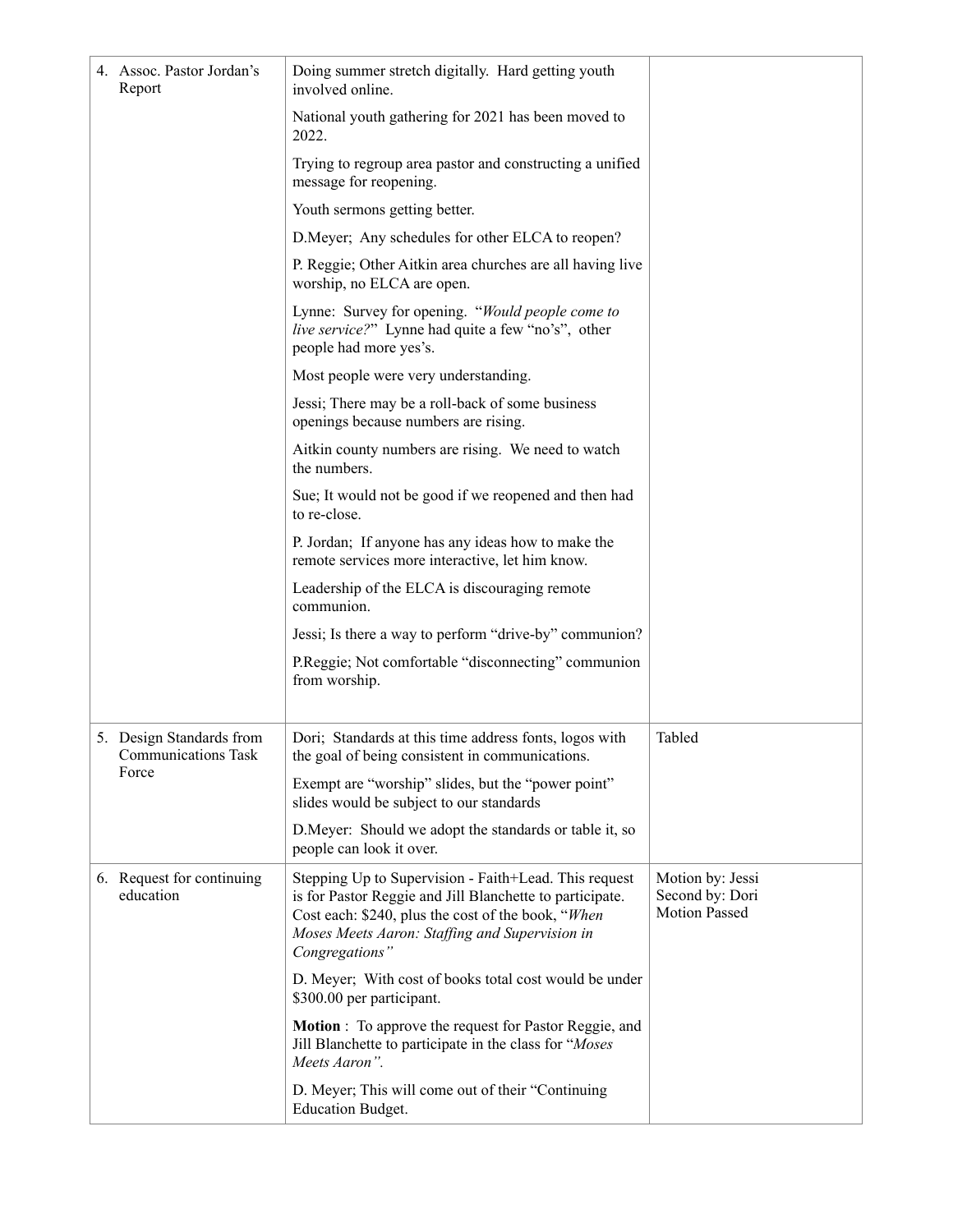|  | 4. Assoc. Pastor Jordan's<br>Report                             | Doing summer stretch digitally. Hard getting youth<br>involved online.                                                                                                                                                                      |                                                             |
|--|-----------------------------------------------------------------|---------------------------------------------------------------------------------------------------------------------------------------------------------------------------------------------------------------------------------------------|-------------------------------------------------------------|
|  |                                                                 | National youth gathering for 2021 has been moved to<br>2022.                                                                                                                                                                                |                                                             |
|  |                                                                 | Trying to regroup area pastor and constructing a unified<br>message for reopening.                                                                                                                                                          |                                                             |
|  |                                                                 | Youth sermons getting better.                                                                                                                                                                                                               |                                                             |
|  |                                                                 | D.Meyer; Any schedules for other ELCA to reopen?                                                                                                                                                                                            |                                                             |
|  |                                                                 | P. Reggie; Other Aitkin area churches are all having live<br>worship, no ELCA are open.                                                                                                                                                     |                                                             |
|  |                                                                 | Lynne: Survey for opening. "Would people come to<br>live service?" Lynne had quite a few "no's", other<br>people had more yes's.                                                                                                            |                                                             |
|  |                                                                 | Most people were very understanding.                                                                                                                                                                                                        |                                                             |
|  |                                                                 | Jessi; There may be a roll-back of some business<br>openings because numbers are rising.                                                                                                                                                    |                                                             |
|  |                                                                 | Aitkin county numbers are rising. We need to watch<br>the numbers.                                                                                                                                                                          |                                                             |
|  |                                                                 | Sue; It would not be good if we reopened and then had<br>to re-close.                                                                                                                                                                       |                                                             |
|  |                                                                 | P. Jordan; If anyone has any ideas how to make the<br>remote services more interactive, let him know.                                                                                                                                       |                                                             |
|  |                                                                 | Leadership of the ELCA is discouraging remote<br>communion.                                                                                                                                                                                 |                                                             |
|  |                                                                 | Jessi; Is there a way to perform "drive-by" communion?                                                                                                                                                                                      |                                                             |
|  |                                                                 | P.Reggie; Not comfortable "disconnecting" communion<br>from worship.                                                                                                                                                                        |                                                             |
|  | 5. Design Standards from<br><b>Communications Task</b><br>Force | Dori; Standards at this time address fonts, logos with<br>the goal of being consistent in communications.                                                                                                                                   | Tabled                                                      |
|  |                                                                 | Exempt are "worship" slides, but the "power point"<br>slides would be subject to our standards                                                                                                                                              |                                                             |
|  |                                                                 | D.Meyer: Should we adopt the standards or table it, so<br>people can look it over.                                                                                                                                                          |                                                             |
|  | 6. Request for continuing<br>education                          | Stepping Up to Supervision - Faith+Lead. This request<br>is for Pastor Reggie and Jill Blanchette to participate.<br>Cost each: \$240, plus the cost of the book, "When<br>Moses Meets Aaron: Staffing and Supervision in<br>Congregations" | Motion by: Jessi<br>Second by: Dori<br><b>Motion Passed</b> |
|  |                                                                 | D. Meyer; With cost of books total cost would be under<br>\$300.00 per participant.                                                                                                                                                         |                                                             |
|  |                                                                 | <b>Motion</b> : To approve the request for Pastor Reggie, and<br>Jill Blanchette to participate in the class for "Moses"<br>Meets Aaron".                                                                                                   |                                                             |
|  |                                                                 | D. Meyer; This will come out of their "Continuing<br><b>Education Budget.</b>                                                                                                                                                               |                                                             |